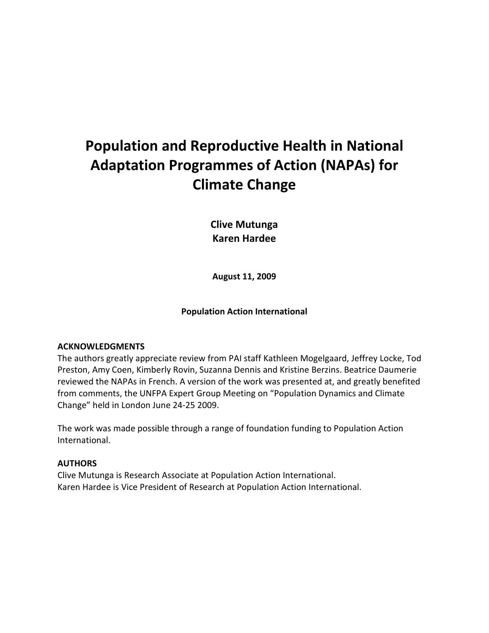# Population and Reproductive Health in National Adaptation Programmes of Action (NAPAs) for Climate Change

Clive Mutunga Karen Hardee

August 11, 2009

Population Action International

# ACKNOWLEDGMENTS

The authors greatly appreciate review from PAI staff Kathleen Mogelgaard, Jeffrey Locke, Tod Preston, Amy Coen, Kimberly Rovin, Suzanna Dennis and Kristine Berzins. Beatrice Daumerie reviewed the NAPAs in French. A version of the work was presented at, and greatly benefited from comments, the UNFPA Expert Group Meeting on "Population Dynamics and Climate Change" held in London June 24-25 2009.

The work was made possible through a range of foundation funding to Population Action International.

# AUTHORS

Clive Mutunga is Research Associate at Population Action International. Karen Hardee is Vice President of Research at Population Action International.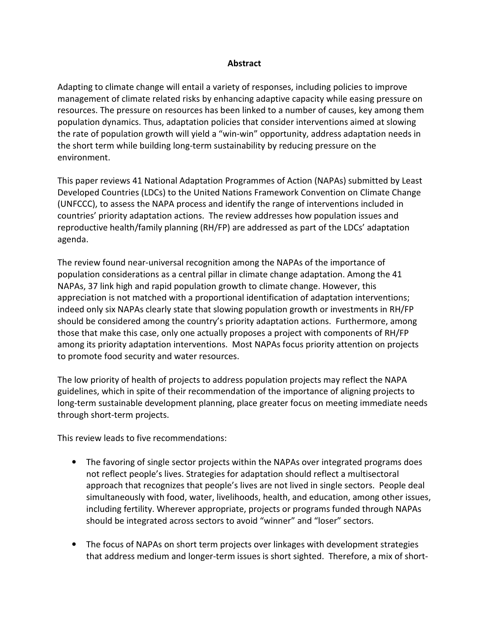## Abstract

Adapting to climate change will entail a variety of responses, including policies to improve management of climate related risks by enhancing adaptive capacity while easing pressure on resources. The pressure on resources has been linked to a number of causes, key among them population dynamics. Thus, adaptation policies that consider interventions aimed at slowing the rate of population growth will yield a "win-win" opportunity, address adaptation needs in the short term while building long-term sustainability by reducing pressure on the environment.

This paper reviews 41 National Adaptation Programmes of Action (NAPAs) submitted by Least Developed Countries (LDCs) to the United Nations Framework Convention on Climate Change (UNFCCC), to assess the NAPA process and identify the range of interventions included in countries' priority adaptation actions. The review addresses how population issues and reproductive health/family planning (RH/FP) are addressed as part of the LDCs' adaptation agenda.

The review found near-universal recognition among the NAPAs of the importance of population considerations as a central pillar in climate change adaptation. Among the 41 NAPAs, 37 link high and rapid population growth to climate change. However, this appreciation is not matched with a proportional identification of adaptation interventions; indeed only six NAPAs clearly state that slowing population growth or investments in RH/FP should be considered among the country's priority adaptation actions. Furthermore, among those that make this case, only one actually proposes a project with components of RH/FP among its priority adaptation interventions. Most NAPAs focus priority attention on projects to promote food security and water resources.

The low priority of health of projects to address population projects may reflect the NAPA guidelines, which in spite of their recommendation of the importance of aligning projects to long-term sustainable development planning, place greater focus on meeting immediate needs through short-term projects.

This review leads to five recommendations:

- The favoring of single sector projects within the NAPAs over integrated programs does not reflect people's lives. Strategies for adaptation should reflect a multisectoral approach that recognizes that people's lives are not lived in single sectors. People deal simultaneously with food, water, livelihoods, health, and education, among other issues, including fertility. Wherever appropriate, projects or programs funded through NAPAs should be integrated across sectors to avoid "winner" and "loser" sectors.
- The focus of NAPAs on short term projects over linkages with development strategies that address medium and longer-term issues is short sighted. Therefore, a mix of short-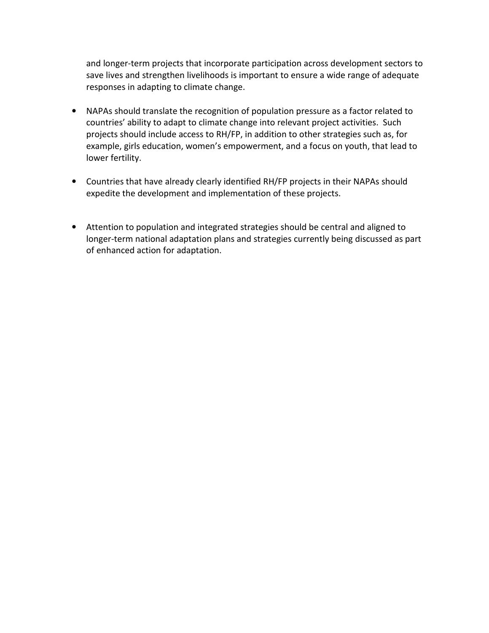and longer-term projects that incorporate participation across development sectors to save lives and strengthen livelihoods is important to ensure a wide range of adequate responses in adapting to climate change.

- NAPAs should translate the recognition of population pressure as a factor related to countries' ability to adapt to climate change into relevant project activities. Such projects should include access to RH/FP, in addition to other strategies such as, for example, girls education, women's empowerment, and a focus on youth, that lead to lower fertility.
- Countries that have already clearly identified RH/FP projects in their NAPAs should expedite the development and implementation of these projects.
- Attention to population and integrated strategies should be central and aligned to longer-term national adaptation plans and strategies currently being discussed as part of enhanced action for adaptation.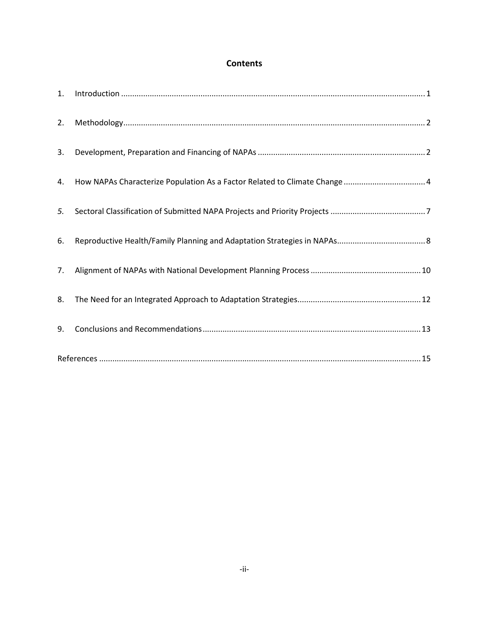# **Contents**

| 1. | $\label{eq:interoduction} \mbox{Introduction} \,\, \ldots \,\, \ldots \,\, \ldots \,\, \ldots \,\, \ldots \,\, \ldots \,\, \ldots \,\, \ldots \,\, \ldots \,\, \ldots \,\, \ldots \,\, \ldots \,\, \ldots \,\, \ldots \,\, \ldots \,\, \ldots \,\, \ldots \,\, \ldots \,\, \ldots \,\, \ldots \,\, \ldots \,\, \ldots \,\, \ldots \,\, \ldots \,\, \ldots \,\, \ldots \,\, \ldots \,\, \ldots \,\, \ldots \,\, \ldots \,\, \ldots \,\, \ldots \,\, \ldots \,\, \ldots \$ |
|----|--------------------------------------------------------------------------------------------------------------------------------------------------------------------------------------------------------------------------------------------------------------------------------------------------------------------------------------------------------------------------------------------------------------------------------------------------------------------------|
| 2. |                                                                                                                                                                                                                                                                                                                                                                                                                                                                          |
| 3. |                                                                                                                                                                                                                                                                                                                                                                                                                                                                          |
| 4. | How NAPAs Characterize Population As a Factor Related to Climate Change  4                                                                                                                                                                                                                                                                                                                                                                                               |
| 5. |                                                                                                                                                                                                                                                                                                                                                                                                                                                                          |
| 6. |                                                                                                                                                                                                                                                                                                                                                                                                                                                                          |
| 7. |                                                                                                                                                                                                                                                                                                                                                                                                                                                                          |
| 8. |                                                                                                                                                                                                                                                                                                                                                                                                                                                                          |
| 9. |                                                                                                                                                                                                                                                                                                                                                                                                                                                                          |
|    | $References \hspace{20pt} 15$                                                                                                                                                                                                                                                                                                                                                                                                                                            |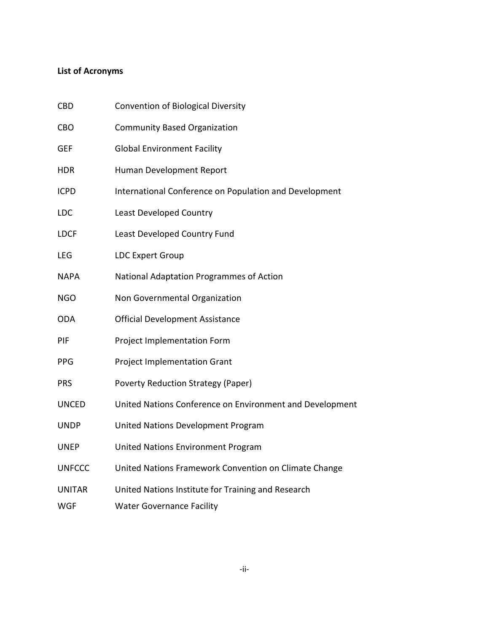# List of Acronyms

| CBD           | <b>Convention of Biological Diversity</b>                |
|---------------|----------------------------------------------------------|
| CBO           | <b>Community Based Organization</b>                      |
| GEF           | <b>Global Environment Facility</b>                       |
| HDR           | Human Development Report                                 |
| <b>ICPD</b>   | International Conference on Population and Development   |
| LDC           | Least Developed Country                                  |
| LDCF          | Least Developed Country Fund                             |
| LEG           | <b>LDC Expert Group</b>                                  |
| NAPA          | National Adaptation Programmes of Action                 |
| <b>NGO</b>    | Non Governmental Organization                            |
| ODA           | <b>Official Development Assistance</b>                   |
| PIF           | Project Implementation Form                              |
| PPG           | <b>Project Implementation Grant</b>                      |
| PRS           | <b>Poverty Reduction Strategy (Paper)</b>                |
| UNCED         | United Nations Conference on Environment and Development |
| <b>UNDP</b>   | United Nations Development Program                       |
| UNEP          | <b>United Nations Environment Program</b>                |
| <b>UNFCCC</b> | United Nations Framework Convention on Climate Change    |
| <b>UNITAR</b> | United Nations Institute for Training and Research       |
| WGF           | <b>Water Governance Facility</b>                         |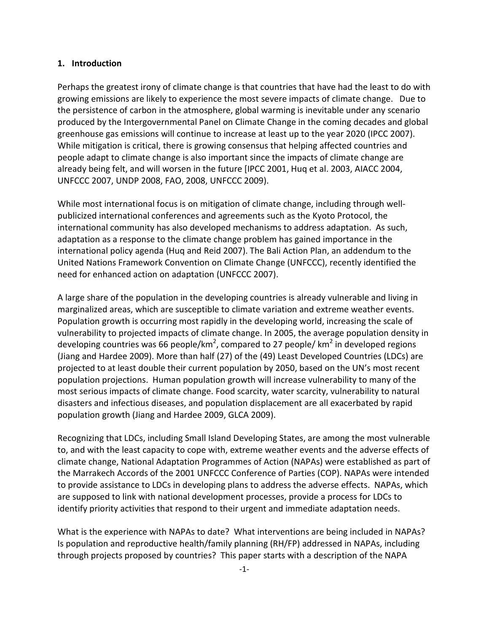#### 1. Introduction

Perhaps the greatest irony of climate change is that countries that have had the least to do with growing emissions are likely to experience the most severe impacts of climate change. Due to the persistence of carbon in the atmosphere, global warming is inevitable under any scenario produced by the Intergovernmental Panel on Climate Change in the coming decades and global greenhouse gas emissions will continue to increase at least up to the year 2020 (IPCC 2007). While mitigation is critical, there is growing consensus that helping affected countries and people adapt to climate change is also important since the impacts of climate change are already being felt, and will worsen in the future [IPCC 2001, Huq et al. 2003, AIACC 2004, UNFCCC 2007, UNDP 2008, FAO, 2008, UNFCCC 2009).

While most international focus is on mitigation of climate change, including through wellpublicized international conferences and agreements such as the Kyoto Protocol, the international community has also developed mechanisms to address adaptation. As such, adaptation as a response to the climate change problem has gained importance in the international policy agenda (Huq and Reid 2007). The Bali Action Plan, an addendum to the United Nations Framework Convention on Climate Change (UNFCCC), recently identified the need for enhanced action on adaptation (UNFCCC 2007).

A large share of the population in the developing countries is already vulnerable and living in marginalized areas, which are susceptible to climate variation and extreme weather events. Population growth is occurring most rapidly in the developing world, increasing the scale of vulnerability to projected impacts of climate change. In 2005, the average population density in developing countries was 66 people/km<sup>2</sup>, compared to 27 people/ km<sup>2</sup> in developed regions (Jiang and Hardee 2009). More than half (27) of the (49) Least Developed Countries (LDCs) are projected to at least double their current population by 2050, based on the UN's most recent population projections. Human population growth will increase vulnerability to many of the most serious impacts of climate change. Food scarcity, water scarcity, vulnerability to natural disasters and infectious diseases, and population displacement are all exacerbated by rapid population growth (Jiang and Hardee 2009, GLCA 2009).

Recognizing that LDCs, including Small Island Developing States, are among the most vulnerable to, and with the least capacity to cope with, extreme weather events and the adverse effects of climate change, National Adaptation Programmes of Action (NAPAs) were established as part of the Marrakech Accords of the 2001 UNFCCC Conference of Parties (COP). NAPAs were intended to provide assistance to LDCs in developing plans to address the adverse effects. NAPAs, which are supposed to link with national development processes, provide a process for LDCs to identify priority activities that respond to their urgent and immediate adaptation needs.

What is the experience with NAPAs to date? What interventions are being included in NAPAs? Is population and reproductive health/family planning (RH/FP) addressed in NAPAs, including through projects proposed by countries? This paper starts with a description of the NAPA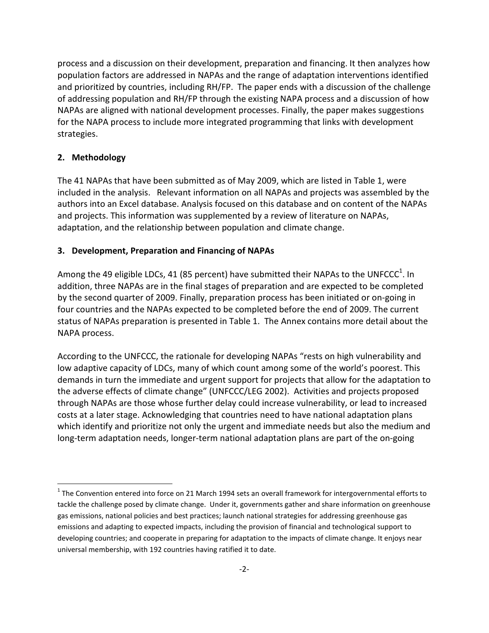process and a discussion on their development, preparation and financing. It then analyzes how population factors are addressed in NAPAs and the range of adaptation interventions identified and prioritized by countries, including RH/FP. The paper ends with a discussion of the challenge of addressing population and RH/FP through the existing NAPA process and a discussion of how NAPAs are aligned with national development processes. Finally, the paper makes suggestions for the NAPA process to include more integrated programming that links with development strategies.

# 2. Methodology

l

The 41 NAPAs that have been submitted as of May 2009, which are listed in Table 1, were included in the analysis. Relevant information on all NAPAs and projects was assembled by the authors into an Excel database. Analysis focused on this database and on content of the NAPAs and projects. This information was supplemented by a review of literature on NAPAs, adaptation, and the relationship between population and climate change.

# 3. Development, Preparation and Financing of NAPAs

Among the 49 eligible LDCs, 41 (85 percent) have submitted their NAPAs to the UNFCCC<sup>1</sup>. In addition, three NAPAs are in the final stages of preparation and are expected to be completed by the second quarter of 2009. Finally, preparation process has been initiated or on-going in four countries and the NAPAs expected to be completed before the end of 2009. The current status of NAPAs preparation is presented in Table 1. The Annex contains more detail about the NAPA process.

According to the UNFCCC, the rationale for developing NAPAs "rests on high vulnerability and low adaptive capacity of LDCs, many of which count among some of the world's poorest. This demands in turn the immediate and urgent support for projects that allow for the adaptation to the adverse effects of climate change" (UNFCCC/LEG 2002). Activities and projects proposed through NAPAs are those whose further delay could increase vulnerability, or lead to increased costs at a later stage. Acknowledging that countries need to have national adaptation plans which identify and prioritize not only the urgent and immediate needs but also the medium and long-term adaptation needs, longer-term national adaptation plans are part of the on-going

 $1$  The Convention entered into force on 21 March 1994 sets an overall framework for intergovernmental efforts to tackle the challenge posed by climate change. Under it, governments gather and share information on greenhouse gas emissions, national policies and best practices; launch national strategies for addressing greenhouse gas emissions and adapting to expected impacts, including the provision of financial and technological support to developing countries; and cooperate in preparing for adaptation to the impacts of climate change. It enjoys near universal membership, with 192 countries having ratified it to date.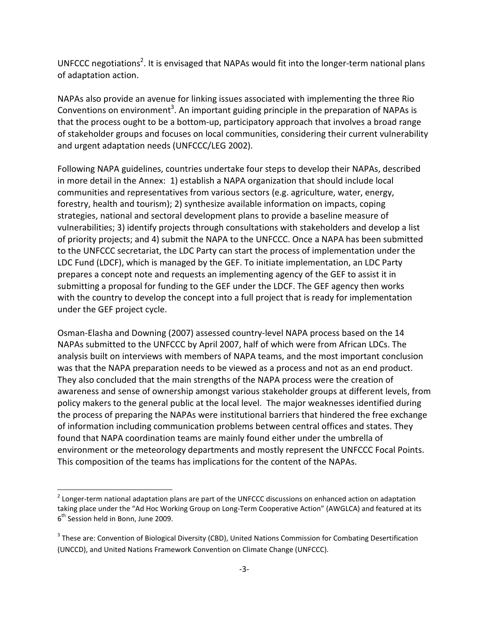UNFCCC negotiations<sup>2</sup>. It is envisaged that NAPAs would fit into the longer-term national plans of adaptation action.

NAPAs also provide an avenue for linking issues associated with implementing the three Rio Conventions on environment<sup>3</sup>. An important guiding principle in the preparation of NAPAs is that the process ought to be a bottom-up, participatory approach that involves a broad range of stakeholder groups and focuses on local communities, considering their current vulnerability and urgent adaptation needs (UNFCCC/LEG 2002).

Following NAPA guidelines, countries undertake four steps to develop their NAPAs, described in more detail in the Annex: 1) establish a NAPA organization that should include local communities and representatives from various sectors (e.g. agriculture, water, energy, forestry, health and tourism); 2) synthesize available information on impacts, coping strategies, national and sectoral development plans to provide a baseline measure of vulnerabilities; 3) identify projects through consultations with stakeholders and develop a list of priority projects; and 4) submit the NAPA to the UNFCCC. Once a NAPA has been submitted to the UNFCCC secretariat, the LDC Party can start the process of implementation under the LDC Fund (LDCF), which is managed by the GEF. To initiate implementation, an LDC Party prepares a concept note and requests an implementing agency of the GEF to assist it in submitting a proposal for funding to the GEF under the LDCF. The GEF agency then works with the country to develop the concept into a full project that is ready for implementation under the GEF project cycle.

Osman-Elasha and Downing (2007) assessed country-level NAPA process based on the 14 NAPAs submitted to the UNFCCC by April 2007, half of which were from African LDCs. The analysis built on interviews with members of NAPA teams, and the most important conclusion was that the NAPA preparation needs to be viewed as a process and not as an end product. They also concluded that the main strengths of the NAPA process were the creation of awareness and sense of ownership amongst various stakeholder groups at different levels, from policy makers to the general public at the local level. The major weaknesses identified during the process of preparing the NAPAs were institutional barriers that hindered the free exchange of information including communication problems between central offices and states. They found that NAPA coordination teams are mainly found either under the umbrella of environment or the meteorology departments and mostly represent the UNFCCC Focal Points. This composition of the teams has implications for the content of the NAPAs.

l

 $2$  Longer-term national adaptation plans are part of the UNFCCC discussions on enhanced action on adaptation taking place under the "Ad Hoc Working Group on Long-Term Cooperative Action" (AWGLCA) and featured at its 6<sup>th</sup> Session held in Bonn, June 2009.

<sup>&</sup>lt;sup>3</sup> These are: Convention of Biological Diversity (CBD), United Nations Commission for Combating Desertification (UNCCD), and United Nations Framework Convention on Climate Change (UNFCCC).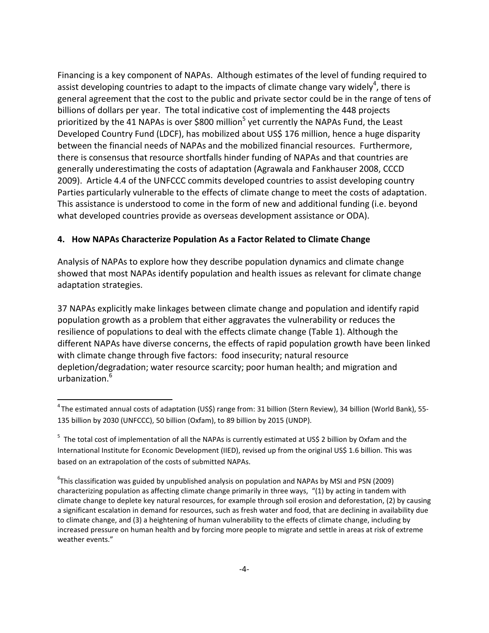Financing is a key component of NAPAs. Although estimates of the level of funding required to assist developing countries to adapt to the impacts of climate change vary widely<sup>4</sup>, there is general agreement that the cost to the public and private sector could be in the range of tens of billions of dollars per year. The total indicative cost of implementing the 448 projects prioritized by the 41 NAPAs is over \$800 million<sup>5</sup> yet currently the NAPAs Fund, the Least Developed Country Fund (LDCF), has mobilized about US\$ 176 million, hence a huge disparity between the financial needs of NAPAs and the mobilized financial resources. Furthermore, there is consensus that resource shortfalls hinder funding of NAPAs and that countries are generally underestimating the costs of adaptation (Agrawala and Fankhauser 2008, CCCD 2009). Article 4.4 of the UNFCCC commits developed countries to assist developing country Parties particularly vulnerable to the effects of climate change to meet the costs of adaptation. This assistance is understood to come in the form of new and additional funding (i.e. beyond what developed countries provide as overseas development assistance or ODA).

# 4. How NAPAs Characterize Population As a Factor Related to Climate Change

Analysis of NAPAs to explore how they describe population dynamics and climate change showed that most NAPAs identify population and health issues as relevant for climate change adaptation strategies.

37 NAPAs explicitly make linkages between climate change and population and identify rapid population growth as a problem that either aggravates the vulnerability or reduces the resilience of populations to deal with the effects climate change (Table 1). Although the different NAPAs have diverse concerns, the effects of rapid population growth have been linked with climate change through five factors: food insecurity; natural resource depletion/degradation; water resource scarcity; poor human health; and migration and urbanization.<sup>6</sup>

l

<sup>&</sup>lt;sup>4</sup> The estimated annual costs of adaptation (US\$) range from: 31 billion (Stern Review), 34 billion (World Bank), 55-135 billion by 2030 (UNFCCC), 50 billion (Oxfam), to 89 billion by 2015 (UNDP).

<sup>&</sup>lt;sup>5</sup> The total cost of implementation of all the NAPAs is currently estimated at US\$ 2 billion by Oxfam and the International Institute for Economic Development (IIED), revised up from the original US\$ 1.6 billion. This was based on an extrapolation of the costs of submitted NAPAs.

<sup>&</sup>lt;sup>6</sup>This classification was guided by unpublished analysis on population and NAPAs by MSI and PSN (2009) characterizing population as affecting climate change primarily in three ways, "(1) by acting in tandem with climate change to deplete key natural resources, for example through soil erosion and deforestation, (2) by causing a significant escalation in demand for resources, such as fresh water and food, that are declining in availability due to climate change, and (3) a heightening of human vulnerability to the effects of climate change, including by increased pressure on human health and by forcing more people to migrate and settle in areas at risk of extreme weather events."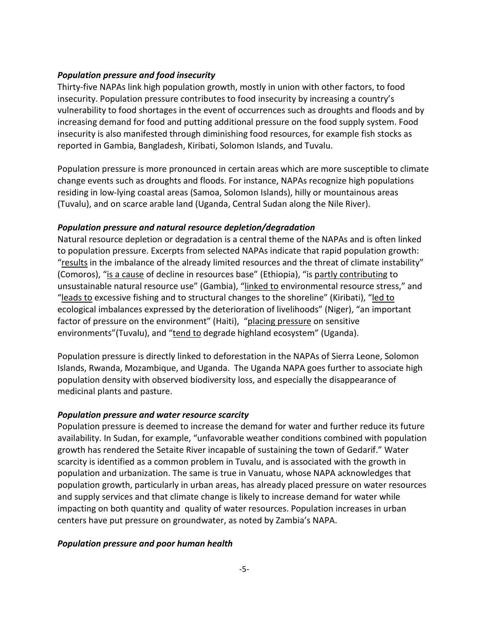## Population pressure and food insecurity

Thirty-five NAPAs link high population growth, mostly in union with other factors, to food insecurity. Population pressure contributes to food insecurity by increasing a country's vulnerability to food shortages in the event of occurrences such as droughts and floods and by increasing demand for food and putting additional pressure on the food supply system. Food insecurity is also manifested through diminishing food resources, for example fish stocks as reported in Gambia, Bangladesh, Kiribati, Solomon Islands, and Tuvalu.

Population pressure is more pronounced in certain areas which are more susceptible to climate change events such as droughts and floods. For instance, NAPAs recognize high populations residing in low-lying coastal areas (Samoa, Solomon Islands), hilly or mountainous areas (Tuvalu), and on scarce arable land (Uganda, Central Sudan along the Nile River).

## Population pressure and natural resource depletion/degradation

Natural resource depletion or degradation is a central theme of the NAPAs and is often linked to population pressure. Excerpts from selected NAPAs indicate that rapid population growth: "results in the imbalance of the already limited resources and the threat of climate instability" (Comoros), "is a cause of decline in resources base" (Ethiopia), "is partly contributing to unsustainable natural resource use" (Gambia), "linked to environmental resource stress," and "leads to excessive fishing and to structural changes to the shoreline" (Kiribati), "led to ecological imbalances expressed by the deterioration of livelihoods" (Niger), "an important factor of pressure on the environment" (Haiti), "placing pressure on sensitive environments"(Tuvalu), and "tend to degrade highland ecosystem" (Uganda).

Population pressure is directly linked to deforestation in the NAPAs of Sierra Leone, Solomon Islands, Rwanda, Mozambique, and Uganda. The Uganda NAPA goes further to associate high population density with observed biodiversity loss, and especially the disappearance of medicinal plants and pasture.

## Population pressure and water resource scarcity

Population pressure is deemed to increase the demand for water and further reduce its future availability. In Sudan, for example, "unfavorable weather conditions combined with population growth has rendered the Setaite River incapable of sustaining the town of Gedarif." Water scarcity is identified as a common problem in Tuvalu, and is associated with the growth in population and urbanization. The same is true in Vanuatu, whose NAPA acknowledges that population growth, particularly in urban areas, has already placed pressure on water resources and supply services and that climate change is likely to increase demand for water while impacting on both quantity and quality of water resources. Population increases in urban centers have put pressure on groundwater, as noted by Zambia's NAPA.

## Population pressure and poor human health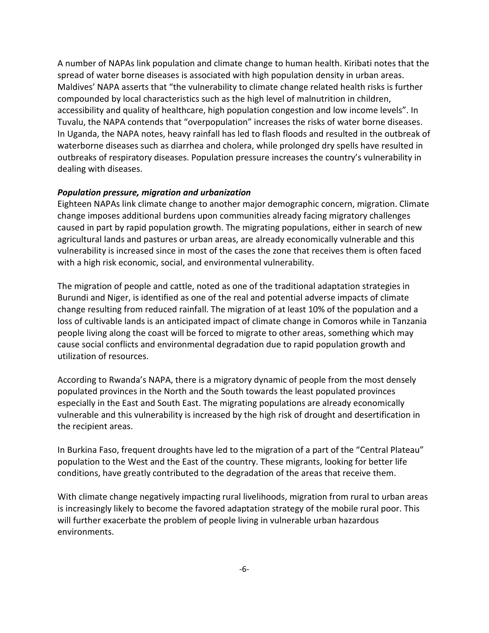A number of NAPAs link population and climate change to human health. Kiribati notes that the spread of water borne diseases is associated with high population density in urban areas. Maldives' NAPA asserts that "the vulnerability to climate change related health risks is further compounded by local characteristics such as the high level of malnutrition in children, accessibility and quality of healthcare, high population congestion and low income levels". In Tuvalu, the NAPA contends that "overpopulation" increases the risks of water borne diseases. In Uganda, the NAPA notes, heavy rainfall has led to flash floods and resulted in the outbreak of waterborne diseases such as diarrhea and cholera, while prolonged dry spells have resulted in outbreaks of respiratory diseases. Population pressure increases the country's vulnerability in dealing with diseases.

#### Population pressure, migration and urbanization

Eighteen NAPAs link climate change to another major demographic concern, migration. Climate change imposes additional burdens upon communities already facing migratory challenges caused in part by rapid population growth. The migrating populations, either in search of new agricultural lands and pastures or urban areas, are already economically vulnerable and this vulnerability is increased since in most of the cases the zone that receives them is often faced with a high risk economic, social, and environmental vulnerability.

The migration of people and cattle, noted as one of the traditional adaptation strategies in Burundi and Niger, is identified as one of the real and potential adverse impacts of climate change resulting from reduced rainfall. The migration of at least 10% of the population and a loss of cultivable lands is an anticipated impact of climate change in Comoros while in Tanzania people living along the coast will be forced to migrate to other areas, something which may cause social conflicts and environmental degradation due to rapid population growth and utilization of resources.

According to Rwanda's NAPA, there is a migratory dynamic of people from the most densely populated provinces in the North and the South towards the least populated provinces especially in the East and South East. The migrating populations are already economically vulnerable and this vulnerability is increased by the high risk of drought and desertification in the recipient areas.

In Burkina Faso, frequent droughts have led to the migration of a part of the "Central Plateau" population to the West and the East of the country. These migrants, looking for better life conditions, have greatly contributed to the degradation of the areas that receive them.

With climate change negatively impacting rural livelihoods, migration from rural to urban areas is increasingly likely to become the favored adaptation strategy of the mobile rural poor. This will further exacerbate the problem of people living in vulnerable urban hazardous environments.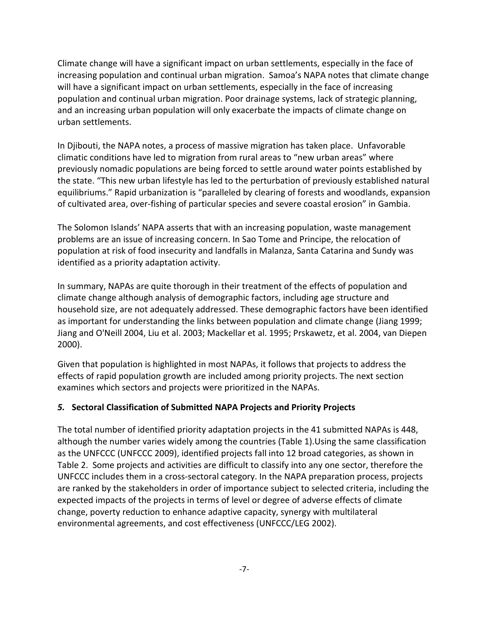Climate change will have a significant impact on urban settlements, especially in the face of increasing population and continual urban migration. Samoa's NAPA notes that climate change will have a significant impact on urban settlements, especially in the face of increasing population and continual urban migration. Poor drainage systems, lack of strategic planning, and an increasing urban population will only exacerbate the impacts of climate change on urban settlements.

In Djibouti, the NAPA notes, a process of massive migration has taken place. Unfavorable climatic conditions have led to migration from rural areas to "new urban areas" where previously nomadic populations are being forced to settle around water points established by the state. "This new urban lifestyle has led to the perturbation of previously established natural equilibriums." Rapid urbanization is "paralleled by clearing of forests and woodlands, expansion of cultivated area, over-fishing of particular species and severe coastal erosion" in Gambia.

The Solomon Islands' NAPA asserts that with an increasing population, waste management problems are an issue of increasing concern. In Sao Tome and Principe, the relocation of population at risk of food insecurity and landfalls in Malanza, Santa Catarina and Sundy was identified as a priority adaptation activity.

In summary, NAPAs are quite thorough in their treatment of the effects of population and climate change although analysis of demographic factors, including age structure and household size, are not adequately addressed. These demographic factors have been identified as important for understanding the links between population and climate change (Jiang 1999; Jiang and O'Neill 2004, Liu et al. 2003; Mackellar et al. 1995; Prskawetz, et al. 2004, van Diepen 2000).

Given that population is highlighted in most NAPAs, it follows that projects to address the effects of rapid population growth are included among priority projects. The next section examines which sectors and projects were prioritized in the NAPAs.

# 5. Sectoral Classification of Submitted NAPA Projects and Priority Projects

The total number of identified priority adaptation projects in the 41 submitted NAPAs is 448, although the number varies widely among the countries (Table 1).Using the same classification as the UNFCCC (UNFCCC 2009), identified projects fall into 12 broad categories, as shown in Table 2. Some projects and activities are difficult to classify into any one sector, therefore the UNFCCC includes them in a cross-sectoral category. In the NAPA preparation process, projects are ranked by the stakeholders in order of importance subject to selected criteria, including the expected impacts of the projects in terms of level or degree of adverse effects of climate change, poverty reduction to enhance adaptive capacity, synergy with multilateral environmental agreements, and cost effectiveness (UNFCCC/LEG 2002).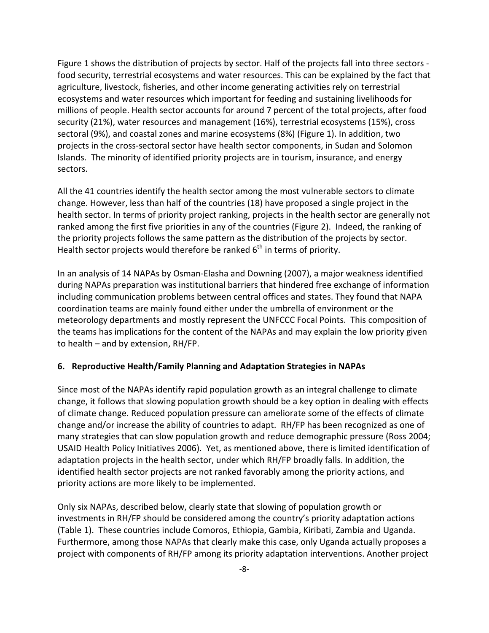Figure 1 shows the distribution of projects by sector. Half of the projects fall into three sectors food security, terrestrial ecosystems and water resources. This can be explained by the fact that agriculture, livestock, fisheries, and other income generating activities rely on terrestrial ecosystems and water resources which important for feeding and sustaining livelihoods for millions of people. Health sector accounts for around 7 percent of the total projects, after food security (21%), water resources and management (16%), terrestrial ecosystems (15%), cross sectoral (9%), and coastal zones and marine ecosystems (8%) (Figure 1). In addition, two projects in the cross-sectoral sector have health sector components, in Sudan and Solomon Islands. The minority of identified priority projects are in tourism, insurance, and energy sectors.

All the 41 countries identify the health sector among the most vulnerable sectors to climate change. However, less than half of the countries (18) have proposed a single project in the health sector. In terms of priority project ranking, projects in the health sector are generally not ranked among the first five priorities in any of the countries (Figure 2). Indeed, the ranking of the priority projects follows the same pattern as the distribution of the projects by sector. Health sector projects would therefore be ranked  $6<sup>th</sup>$  in terms of priority.

In an analysis of 14 NAPAs by Osman-Elasha and Downing (2007), a major weakness identified during NAPAs preparation was institutional barriers that hindered free exchange of information including communication problems between central offices and states. They found that NAPA coordination teams are mainly found either under the umbrella of environment or the meteorology departments and mostly represent the UNFCCC Focal Points. This composition of the teams has implications for the content of the NAPAs and may explain the low priority given to health – and by extension, RH/FP.

#### 6. Reproductive Health/Family Planning and Adaptation Strategies in NAPAs

Since most of the NAPAs identify rapid population growth as an integral challenge to climate change, it follows that slowing population growth should be a key option in dealing with effects of climate change. Reduced population pressure can ameliorate some of the effects of climate change and/or increase the ability of countries to adapt. RH/FP has been recognized as one of many strategies that can slow population growth and reduce demographic pressure (Ross 2004; USAID Health Policy Initiatives 2006). Yet, as mentioned above, there is limited identification of adaptation projects in the health sector, under which RH/FP broadly falls. In addition, the identified health sector projects are not ranked favorably among the priority actions, and priority actions are more likely to be implemented.

Only six NAPAs, described below, clearly state that slowing of population growth or investments in RH/FP should be considered among the country's priority adaptation actions (Table 1). These countries include Comoros, Ethiopia, Gambia, Kiribati, Zambia and Uganda. Furthermore, among those NAPAs that clearly make this case, only Uganda actually proposes a project with components of RH/FP among its priority adaptation interventions. Another project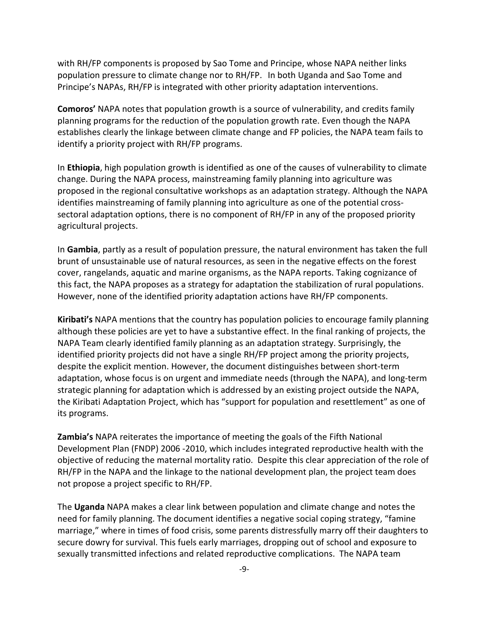with RH/FP components is proposed by Sao Tome and Principe, whose NAPA neither links population pressure to climate change nor to RH/FP. In both Uganda and Sao Tome and Principe's NAPAs, RH/FP is integrated with other priority adaptation interventions.

Comoros' NAPA notes that population growth is a source of vulnerability, and credits family planning programs for the reduction of the population growth rate. Even though the NAPA establishes clearly the linkage between climate change and FP policies, the NAPA team fails to identify a priority project with RH/FP programs.

In Ethiopia, high population growth is identified as one of the causes of vulnerability to climate change. During the NAPA process, mainstreaming family planning into agriculture was proposed in the regional consultative workshops as an adaptation strategy. Although the NAPA identifies mainstreaming of family planning into agriculture as one of the potential crosssectoral adaptation options, there is no component of RH/FP in any of the proposed priority agricultural projects.

In Gambia, partly as a result of population pressure, the natural environment has taken the full brunt of unsustainable use of natural resources, as seen in the negative effects on the forest cover, rangelands, aquatic and marine organisms, as the NAPA reports. Taking cognizance of this fact, the NAPA proposes as a strategy for adaptation the stabilization of rural populations. However, none of the identified priority adaptation actions have RH/FP components.

Kiribati's NAPA mentions that the country has population policies to encourage family planning although these policies are yet to have a substantive effect. In the final ranking of projects, the NAPA Team clearly identified family planning as an adaptation strategy. Surprisingly, the identified priority projects did not have a single RH/FP project among the priority projects, despite the explicit mention. However, the document distinguishes between short-term adaptation, whose focus is on urgent and immediate needs (through the NAPA), and long-term strategic planning for adaptation which is addressed by an existing project outside the NAPA, the Kiribati Adaptation Project, which has "support for population and resettlement" as one of its programs.

Zambia's NAPA reiterates the importance of meeting the goals of the Fifth National Development Plan (FNDP) 2006 -2010, which includes integrated reproductive health with the objective of reducing the maternal mortality ratio. Despite this clear appreciation of the role of RH/FP in the NAPA and the linkage to the national development plan, the project team does not propose a project specific to RH/FP.

The Uganda NAPA makes a clear link between population and climate change and notes the need for family planning. The document identifies a negative social coping strategy, "famine marriage," where in times of food crisis, some parents distressfully marry off their daughters to secure dowry for survival. This fuels early marriages, dropping out of school and exposure to sexually transmitted infections and related reproductive complications. The NAPA team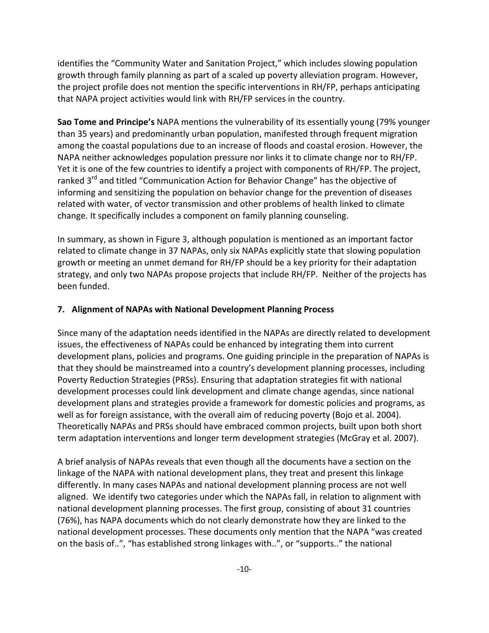identifies the "Community Water and Sanitation Project," which includes slowing population growth through family planning as part of a scaled up poverty alleviation program. However, the project profile does not mention the specific interventions in RH/FP, perhaps anticipating that NAPA project activities would link with RH/FP services in the country.

Sao Tome and Principe's NAPA mentions the vulnerability of its essentially young (79% younger than 35 years) and predominantly urban population, manifested through frequent migration among the coastal populations due to an increase of floods and coastal erosion. However, the NAPA neither acknowledges population pressure nor links it to climate change nor to RH/FP. Yet it is one of the few countries to identify a project with components of RH/FP. The project, ranked 3<sup>rd</sup> and titled "Communication Action for Behavior Change" has the objective of informing and sensitizing the population on behavior change for the prevention of diseases related with water, of vector transmission and other problems of health linked to climate change. It specifically includes a component on family planning counseling.

In summary, as shown in Figure 3, although population is mentioned as an important factor related to climate change in 37 NAPAs, only six NAPAs explicitly state that slowing population growth or meeting an unmet demand for RH/FP should be a key priority for their adaptation strategy, and only two NAPAs propose projects that include RH/FP. Neither of the projects has been funded.

## 7. Alignment of NAPAs with National Development Planning Process

Since many of the adaptation needs identified in the NAPAs are directly related to development issues, the effectiveness of NAPAs could be enhanced by integrating them into current development plans, policies and programs. One guiding principle in the preparation of NAPAs is that they should be mainstreamed into a country's development planning processes, including Poverty Reduction Strategies (PRSs). Ensuring that adaptation strategies fit with national development processes could link development and climate change agendas, since national development plans and strategies provide a framework for domestic policies and programs, as well as for foreign assistance, with the overall aim of reducing poverty (Bojo et al. 2004). Theoretically NAPAs and PRSs should have embraced common projects, built upon both short term adaptation interventions and longer term development strategies (McGray et al. 2007).

A brief analysis of NAPAs reveals that even though all the documents have a section on the linkage of the NAPA with national development plans, they treat and present this linkage differently. In many cases NAPAs and national development planning process are not well aligned. We identify two categories under which the NAPAs fall, in relation to alignment with national development planning processes. The first group, consisting of about 31 countries (76%), has NAPA documents which do not clearly demonstrate how they are linked to the national development processes. These documents only mention that the NAPA "was created on the basis of..", "has established strong linkages with..", or "supports.." the national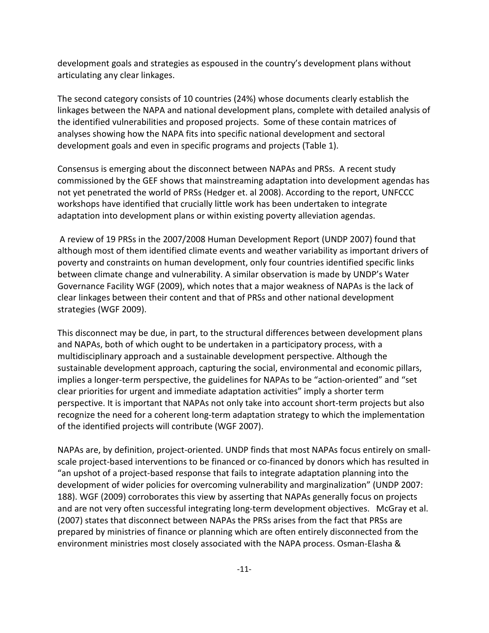development goals and strategies as espoused in the country's development plans without articulating any clear linkages.

The second category consists of 10 countries (24%) whose documents clearly establish the linkages between the NAPA and national development plans, complete with detailed analysis of the identified vulnerabilities and proposed projects. Some of these contain matrices of analyses showing how the NAPA fits into specific national development and sectoral development goals and even in specific programs and projects (Table 1).

Consensus is emerging about the disconnect between NAPAs and PRSs. A recent study commissioned by the GEF shows that mainstreaming adaptation into development agendas has not yet penetrated the world of PRSs (Hedger et. al 2008). According to the report, UNFCCC workshops have identified that crucially little work has been undertaken to integrate adaptation into development plans or within existing poverty alleviation agendas.

 A review of 19 PRSs in the 2007/2008 Human Development Report (UNDP 2007) found that although most of them identified climate events and weather variability as important drivers of poverty and constraints on human development, only four countries identified specific links between climate change and vulnerability. A similar observation is made by UNDP's Water Governance Facility WGF (2009), which notes that a major weakness of NAPAs is the lack of clear linkages between their content and that of PRSs and other national development strategies (WGF 2009).

This disconnect may be due, in part, to the structural differences between development plans and NAPAs, both of which ought to be undertaken in a participatory process, with a multidisciplinary approach and a sustainable development perspective. Although the sustainable development approach, capturing the social, environmental and economic pillars, implies a longer-term perspective, the guidelines for NAPAs to be "action-oriented" and "set clear priorities for urgent and immediate adaptation activities" imply a shorter term perspective. It is important that NAPAs not only take into account short-term projects but also recognize the need for a coherent long-term adaptation strategy to which the implementation of the identified projects will contribute (WGF 2007).

NAPAs are, by definition, project-oriented. UNDP finds that most NAPAs focus entirely on smallscale project-based interventions to be financed or co-financed by donors which has resulted in "an upshot of a project-based response that fails to integrate adaptation planning into the development of wider policies for overcoming vulnerability and marginalization" (UNDP 2007: 188). WGF (2009) corroborates this view by asserting that NAPAs generally focus on projects and are not very often successful integrating long-term development objectives. McGray et al. (2007) states that disconnect between NAPAs the PRSs arises from the fact that PRSs are prepared by ministries of finance or planning which are often entirely disconnected from the environment ministries most closely associated with the NAPA process. Osman-Elasha &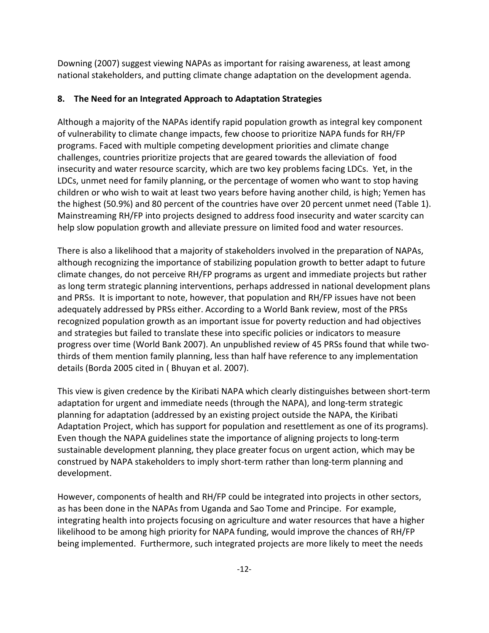Downing (2007) suggest viewing NAPAs as important for raising awareness, at least among national stakeholders, and putting climate change adaptation on the development agenda.

# 8. The Need for an Integrated Approach to Adaptation Strategies

Although a majority of the NAPAs identify rapid population growth as integral key component of vulnerability to climate change impacts, few choose to prioritize NAPA funds for RH/FP programs. Faced with multiple competing development priorities and climate change challenges, countries prioritize projects that are geared towards the alleviation of food insecurity and water resource scarcity, which are two key problems facing LDCs. Yet, in the LDCs, unmet need for family planning, or the percentage of women who want to stop having children or who wish to wait at least two years before having another child, is high; Yemen has the highest (50.9%) and 80 percent of the countries have over 20 percent unmet need (Table 1). Mainstreaming RH/FP into projects designed to address food insecurity and water scarcity can help slow population growth and alleviate pressure on limited food and water resources.

There is also a likelihood that a majority of stakeholders involved in the preparation of NAPAs, although recognizing the importance of stabilizing population growth to better adapt to future climate changes, do not perceive RH/FP programs as urgent and immediate projects but rather as long term strategic planning interventions, perhaps addressed in national development plans and PRSs. It is important to note, however, that population and RH/FP issues have not been adequately addressed by PRSs either. According to a World Bank review, most of the PRSs recognized population growth as an important issue for poverty reduction and had objectives and strategies but failed to translate these into specific policies or indicators to measure progress over time (World Bank 2007). An unpublished review of 45 PRSs found that while twothirds of them mention family planning, less than half have reference to any implementation details (Borda 2005 cited in ( Bhuyan et al. 2007).

This view is given credence by the Kiribati NAPA which clearly distinguishes between short-term adaptation for urgent and immediate needs (through the NAPA), and long-term strategic planning for adaptation (addressed by an existing project outside the NAPA, the Kiribati Adaptation Project, which has support for population and resettlement as one of its programs). Even though the NAPA guidelines state the importance of aligning projects to long-term sustainable development planning, they place greater focus on urgent action, which may be construed by NAPA stakeholders to imply short-term rather than long-term planning and development.

However, components of health and RH/FP could be integrated into projects in other sectors, as has been done in the NAPAs from Uganda and Sao Tome and Principe. For example, integrating health into projects focusing on agriculture and water resources that have a higher likelihood to be among high priority for NAPA funding, would improve the chances of RH/FP being implemented. Furthermore, such integrated projects are more likely to meet the needs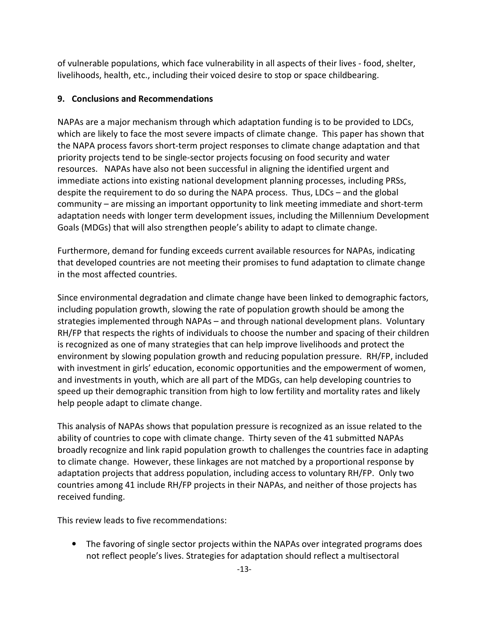of vulnerable populations, which face vulnerability in all aspects of their lives - food, shelter, livelihoods, health, etc., including their voiced desire to stop or space childbearing.

# 9. Conclusions and Recommendations

NAPAs are a major mechanism through which adaptation funding is to be provided to LDCs, which are likely to face the most severe impacts of climate change. This paper has shown that the NAPA process favors short-term project responses to climate change adaptation and that priority projects tend to be single-sector projects focusing on food security and water resources. NAPAs have also not been successful in aligning the identified urgent and immediate actions into existing national development planning processes, including PRSs, despite the requirement to do so during the NAPA process. Thus, LDCs – and the global community – are missing an important opportunity to link meeting immediate and short-term adaptation needs with longer term development issues, including the Millennium Development Goals (MDGs) that will also strengthen people's ability to adapt to climate change.

Furthermore, demand for funding exceeds current available resources for NAPAs, indicating that developed countries are not meeting their promises to fund adaptation to climate change in the most affected countries.

Since environmental degradation and climate change have been linked to demographic factors, including population growth, slowing the rate of population growth should be among the strategies implemented through NAPAs – and through national development plans. Voluntary RH/FP that respects the rights of individuals to choose the number and spacing of their children is recognized as one of many strategies that can help improve livelihoods and protect the environment by slowing population growth and reducing population pressure. RH/FP, included with investment in girls' education, economic opportunities and the empowerment of women, and investments in youth, which are all part of the MDGs, can help developing countries to speed up their demographic transition from high to low fertility and mortality rates and likely help people adapt to climate change.

This analysis of NAPAs shows that population pressure is recognized as an issue related to the ability of countries to cope with climate change. Thirty seven of the 41 submitted NAPAs broadly recognize and link rapid population growth to challenges the countries face in adapting to climate change. However, these linkages are not matched by a proportional response by adaptation projects that address population, including access to voluntary RH/FP. Only two countries among 41 include RH/FP projects in their NAPAs, and neither of those projects has received funding.

This review leads to five recommendations:

• The favoring of single sector projects within the NAPAs over integrated programs does not reflect people's lives. Strategies for adaptation should reflect a multisectoral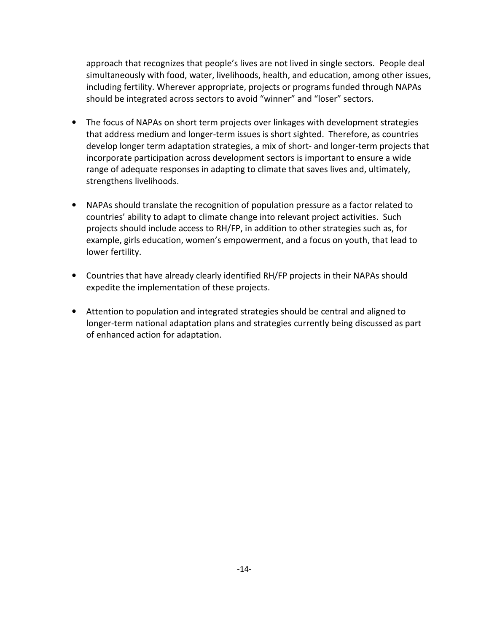approach that recognizes that people's lives are not lived in single sectors. People deal simultaneously with food, water, livelihoods, health, and education, among other issues, including fertility. Wherever appropriate, projects or programs funded through NAPAs should be integrated across sectors to avoid "winner" and "loser" sectors.

- The focus of NAPAs on short term projects over linkages with development strategies that address medium and longer-term issues is short sighted. Therefore, as countries develop longer term adaptation strategies, a mix of short- and longer-term projects that incorporate participation across development sectors is important to ensure a wide range of adequate responses in adapting to climate that saves lives and, ultimately, strengthens livelihoods.
- NAPAs should translate the recognition of population pressure as a factor related to countries' ability to adapt to climate change into relevant project activities. Such projects should include access to RH/FP, in addition to other strategies such as, for example, girls education, women's empowerment, and a focus on youth, that lead to lower fertility.
- Countries that have already clearly identified RH/FP projects in their NAPAs should expedite the implementation of these projects.
- Attention to population and integrated strategies should be central and aligned to longer-term national adaptation plans and strategies currently being discussed as part of enhanced action for adaptation.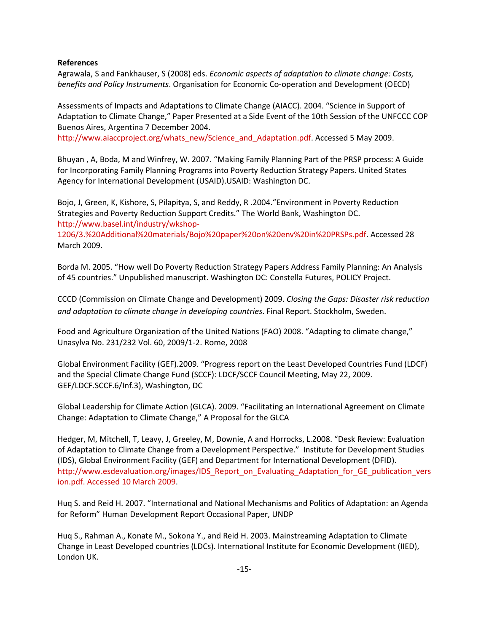#### References

Agrawala, S and Fankhauser, S (2008) eds. Economic aspects of adaptation to climate change: Costs, benefits and Policy Instruments. Organisation for Economic Co-operation and Development (OECD)

Assessments of Impacts and Adaptations to Climate Change (AIACC). 2004. "Science in Support of Adaptation to Climate Change," Paper Presented at a Side Event of the 10th Session of the UNFCCC COP Buenos Aires, Argentina 7 December 2004.

http://www.aiaccproject.org/whats\_new/Science\_and\_Adaptation.pdf. Accessed 5 May 2009.

Bhuyan , A, Boda, M and Winfrey, W. 2007. "Making Family Planning Part of the PRSP process: A Guide for Incorporating Family Planning Programs into Poverty Reduction Strategy Papers. United States Agency for International Development (USAID).USAID: Washington DC.

Bojo, J, Green, K, Kishore, S, Pilapitya, S, and Reddy, R .2004."Environment in Poverty Reduction Strategies and Poverty Reduction Support Credits." The World Bank, Washington DC. http://www.basel.int/industry/wkshop-

1206/3.%20Additional%20materials/Bojo%20paper%20on%20env%20in%20PRSPs.pdf. Accessed 28 March 2009.

Borda M. 2005. "How well Do Poverty Reduction Strategy Papers Address Family Planning: An Analysis of 45 countries." Unpublished manuscript. Washington DC: Constella Futures, POLICY Project.

CCCD (Commission on Climate Change and Development) 2009. Closing the Gaps: Disaster risk reduction and adaptation to climate change in developing countries. Final Report. Stockholm, Sweden.

Food and Agriculture Organization of the United Nations (FAO) 2008. "Adapting to climate change," Unasylva No. 231/232 Vol. 60, 2009/1-2. Rome, 2008

Global Environment Facility (GEF).2009. "Progress report on the Least Developed Countries Fund (LDCF) and the Special Climate Change Fund (SCCF): LDCF/SCCF Council Meeting, May 22, 2009. GEF/LDCF.SCCF.6/Inf.3), Washington, DC

Global Leadership for Climate Action (GLCA). 2009. "Facilitating an International Agreement on Climate Change: Adaptation to Climate Change," A Proposal for the GLCA

Hedger, M, Mitchell, T, Leavy, J, Greeley, M, Downie, A and Horrocks, L.2008. "Desk Review: Evaluation of Adaptation to Climate Change from a Development Perspective." Institute for Development Studies (IDS), Global Environment Facility (GEF) and Department for International Development (DFID). http://www.esdevaluation.org/images/IDS\_Report\_on\_Evaluating\_Adaptation\_for\_GE\_publication\_vers ion.pdf. Accessed 10 March 2009.

Huq S. and Reid H. 2007. "International and National Mechanisms and Politics of Adaptation: an Agenda for Reform" Human Development Report Occasional Paper, UNDP

Huq S., Rahman A., Konate M., Sokona Y., and Reid H. 2003. Mainstreaming Adaptation to Climate Change in Least Developed countries (LDCs). International Institute for Economic Development (IIED), London UK.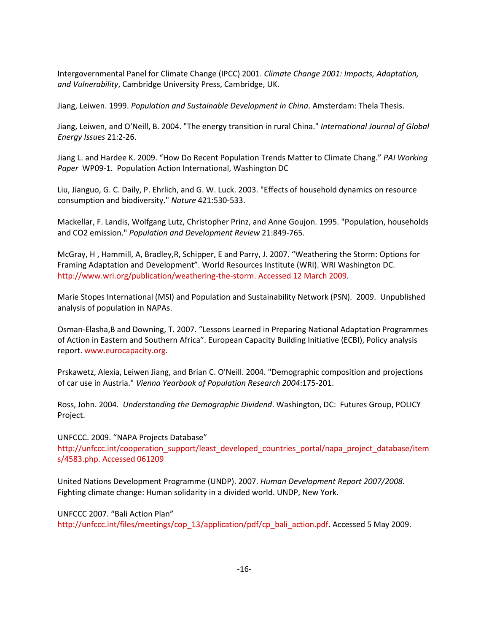Intergovernmental Panel for Climate Change (IPCC) 2001. Climate Change 2001: Impacts, Adaptation, and Vulnerability, Cambridge University Press, Cambridge, UK.

Jiang, Leiwen. 1999. Population and Sustainable Development in China. Amsterdam: Thela Thesis.

Jiang, Leiwen, and O'Neill, B. 2004. "The energy transition in rural China." International Journal of Global Energy Issues 21:2-26.

Jiang L. and Hardee K. 2009. "How Do Recent Population Trends Matter to Climate Chang." PAI Working Paper WP09-1. Population Action International, Washington DC

Liu, Jianguo, G. C. Daily, P. Ehrlich, and G. W. Luck. 2003. "Effects of household dynamics on resource consumption and biodiversity." Nature 421:530-533.

Mackellar, F. Landis, Wolfgang Lutz, Christopher Prinz, and Anne Goujon. 1995. "Population, households and CO2 emission." Population and Development Review 21:849-765.

McGray, H , Hammill, A, Bradley,R, Schipper, E and Parry, J. 2007. "Weathering the Storm: Options for Framing Adaptation and Development". World Resources Institute (WRI). WRI Washington DC. http://www.wri.org/publication/weathering-the-storm. Accessed 12 March 2009.

Marie Stopes International (MSI) and Population and Sustainability Network (PSN). 2009. Unpublished analysis of population in NAPAs.

Osman-Elasha,B and Downing, T. 2007. "Lessons Learned in Preparing National Adaptation Programmes of Action in Eastern and Southern Africa". European Capacity Building Initiative (ECBI), Policy analysis report. www.eurocapacity.org.

Prskawetz, Alexia, Leiwen Jiang, and Brian C. O'Neill. 2004. "Demographic composition and projections of car use in Austria." Vienna Yearbook of Population Research 2004:175-201.

Ross, John. 2004. Understanding the Demographic Dividend. Washington, DC: Futures Group, POLICY Project.

UNFCCC. 2009. "NAPA Projects Database" http://unfccc.int/cooperation\_support/least\_developed\_countries\_portal/napa\_project\_database/item s/4583.php. Accessed 061209

United Nations Development Programme (UNDP). 2007. Human Development Report 2007/2008. Fighting climate change: Human solidarity in a divided world. UNDP, New York.

UNFCCC 2007. "Bali Action Plan" http://unfccc.int/files/meetings/cop\_13/application/pdf/cp\_bali\_action.pdf. Accessed 5 May 2009.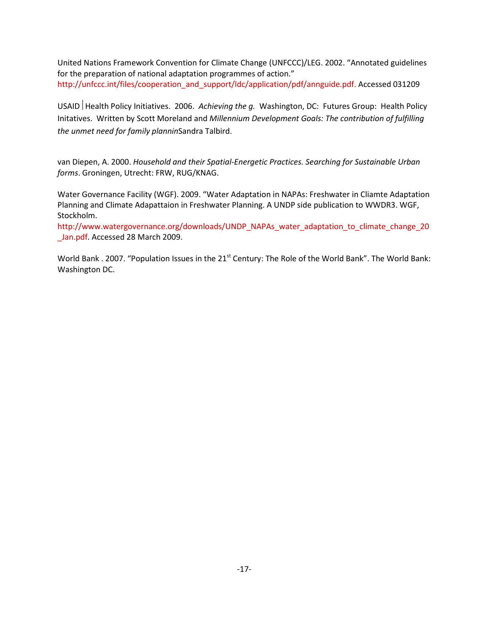United Nations Framework Convention for Climate Change (UNFCCC)/LEG. 2002. "Annotated guidelines for the preparation of national adaptation programmes of action." http://unfccc.int/files/cooperation\_and\_support/ldc/application/pdf/annguide.pdf. Accessed 031209

USAID | Health Policy Initiatives. 2006. Achieving the g. Washington, DC: Futures Group: Health Policy Initatives. Written by Scott Moreland and Millennium Development Goals: The contribution of fulfilling the unmet need for family planninSandra Talbird.

van Diepen, A. 2000. Household and their Spatial-Energetic Practices. Searching for Sustainable Urban forms. Groningen, Utrecht: FRW, RUG/KNAG.

Water Governance Facility (WGF). 2009. "Water Adaptation in NAPAs: Freshwater in Cliamte Adaptation Planning and Climate Adapattaion in Freshwater Planning. A UNDP side publication to WWDR3. WGF, Stockholm.

http://www.watergovernance.org/downloads/UNDP\_NAPAs\_water\_adaptation\_to\_climate\_change\_20 \_Jan.pdf. Accessed 28 March 2009.

World Bank . 2007. "Population Issues in the 21<sup>st</sup> Century: The Role of the World Bank". The World Bank: Washington DC.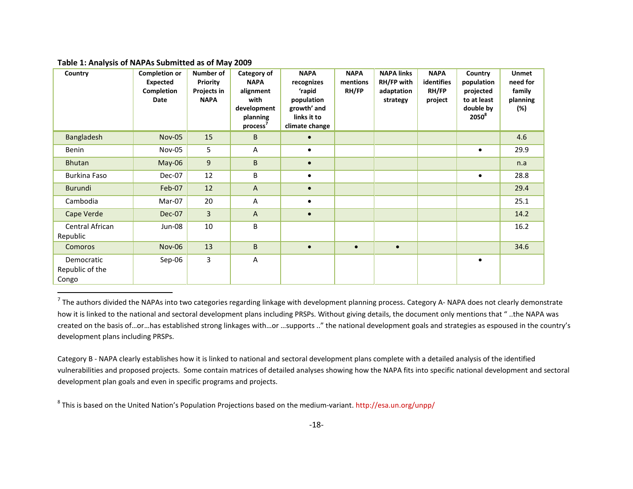#### Table 1: Analysis of NAPAs Submitted as of May 2009

| Country                                | <b>Completion or</b><br>Expected<br>Completion<br>Date | Number of<br><b>Priority</b><br>Projects in<br><b>NAPA</b> | <b>Category of</b><br><b>NAPA</b><br>alignment<br>with<br>development<br>planning<br>process' | <b>NAPA</b><br>recognizes<br>'rapid<br>population<br>growth' and<br>links it to<br>climate change | <b>NAPA</b><br>mentions<br>RH/FP | <b>NAPA links</b><br>RH/FP with<br>adaptation<br>strategy | <b>NAPA</b><br>identifies<br><b>RH/FP</b><br>project | Country<br>population<br>projected<br>to at least<br>double by<br>$2050^8$ | <b>Unmet</b><br>need for<br>family<br>planning<br>(%) |
|----------------------------------------|--------------------------------------------------------|------------------------------------------------------------|-----------------------------------------------------------------------------------------------|---------------------------------------------------------------------------------------------------|----------------------------------|-----------------------------------------------------------|------------------------------------------------------|----------------------------------------------------------------------------|-------------------------------------------------------|
| Bangladesh                             | <b>Nov-05</b>                                          | 15                                                         | B                                                                                             | $\bullet$                                                                                         |                                  |                                                           |                                                      |                                                                            | 4.6                                                   |
| Benin                                  | Nov-05                                                 | 5                                                          | A                                                                                             | ٠                                                                                                 |                                  |                                                           |                                                      | $\bullet$                                                                  | 29.9                                                  |
| <b>Bhutan</b>                          | May-06                                                 | 9                                                          | B                                                                                             | $\bullet$                                                                                         |                                  |                                                           |                                                      |                                                                            | n.a                                                   |
| Burkina Faso                           | Dec-07                                                 | 12                                                         | B                                                                                             | $\bullet$                                                                                         |                                  |                                                           |                                                      | $\bullet$                                                                  | 28.8                                                  |
| Burundi                                | Feb-07                                                 | 12                                                         | $\mathsf{A}$                                                                                  | $\bullet$                                                                                         |                                  |                                                           |                                                      |                                                                            | 29.4                                                  |
| Cambodia                               | Mar-07                                                 | 20                                                         | Α                                                                                             | $\bullet$                                                                                         |                                  |                                                           |                                                      |                                                                            | 25.1                                                  |
| Cape Verde                             | <b>Dec-07</b>                                          | $\overline{3}$                                             | $\mathsf{A}$                                                                                  | $\bullet$                                                                                         |                                  |                                                           |                                                      |                                                                            | 14.2                                                  |
| Central African<br>Republic            | Jun-08                                                 | 10                                                         | B                                                                                             |                                                                                                   |                                  |                                                           |                                                      |                                                                            | 16.2                                                  |
| Comoros                                | <b>Nov-06</b>                                          | 13                                                         | B                                                                                             | $\bullet$                                                                                         | $\bullet$                        | $\bullet$                                                 |                                                      |                                                                            | 34.6                                                  |
| Democratic<br>Republic of the<br>Congo | Sep-06                                                 | 3                                                          | A                                                                                             |                                                                                                   |                                  |                                                           |                                                      | $\bullet$                                                                  |                                                       |

 $^7$  The authors divided the NAPAs into two categories regarding linkage with development planning process. Category A- NAPA does not clearly demonstrate how it is linked to the national and sectoral development plans including PRSPs. Without giving details, the document only mentions that " ..the NAPA was created on the basis of…or…has established strong linkages with…or …supports .." the national development goals and strategies as espoused in the country's development plans including PRSPs.

Category B - NAPA clearly establishes how it is linked to national and sectoral development plans complete with a detailed analysis of the identified vulnerabilities and proposed projects. Some contain matrices of detailed analyses showing how the NAPA fits into specific national development and sectoral development plan goals and even in specific programs and projects.

<sup>&</sup>lt;sup>8</sup> This is based on the United Nation's Population Projections based on the medium-variant. http://esa.un.org/unpp/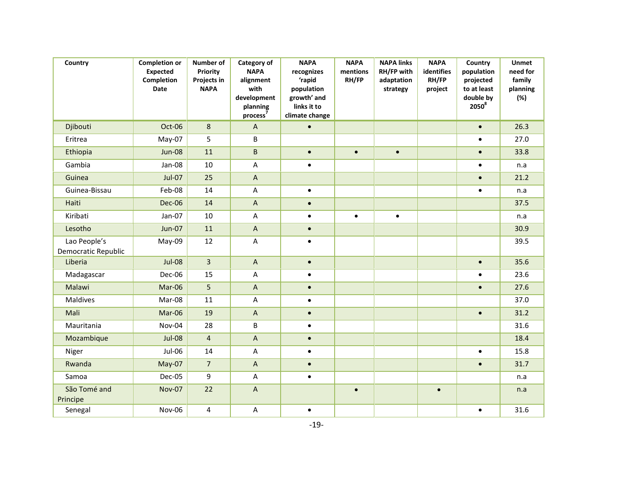| Country                             | <b>Completion or</b><br><b>Expected</b><br>Completion<br>Date | Number of<br>Priority<br>Projects in<br><b>NAPA</b> | Category of<br><b>NAPA</b><br>alignment<br>with<br>development<br>planning<br>process <sup>7</sup> | <b>NAPA</b><br>recognizes<br>'rapid<br>population<br>growth' and<br>links it to<br>climate change | <b>NAPA</b><br>mentions<br>RH/FP | <b>NAPA links</b><br>RH/FP with<br>adaptation<br>strategy | <b>NAPA</b><br>identifies<br>RH/FP<br>project | Country<br>population<br>projected<br>to at least<br>double by<br>$2050^8$ | <b>Unmet</b><br>need for<br>family<br>planning<br>(%) |
|-------------------------------------|---------------------------------------------------------------|-----------------------------------------------------|----------------------------------------------------------------------------------------------------|---------------------------------------------------------------------------------------------------|----------------------------------|-----------------------------------------------------------|-----------------------------------------------|----------------------------------------------------------------------------|-------------------------------------------------------|
| Djibouti                            | Oct-06                                                        | 8                                                   | $\boldsymbol{\mathsf{A}}$                                                                          | $\bullet$                                                                                         |                                  |                                                           |                                               | $\bullet$                                                                  | 26.3                                                  |
| Eritrea                             | May-07                                                        | 5                                                   | B                                                                                                  |                                                                                                   |                                  |                                                           |                                               | $\bullet$                                                                  | 27.0                                                  |
| Ethiopia                            | <b>Jun-08</b>                                                 | 11                                                  | B                                                                                                  | $\bullet$                                                                                         | $\bullet$                        | $\bullet$                                                 |                                               | $\bullet$                                                                  | 33.8                                                  |
| Gambia                              | Jan-08                                                        | 10                                                  | A                                                                                                  | $\bullet$                                                                                         |                                  |                                                           |                                               | $\bullet$                                                                  | n.a                                                   |
| Guinea                              | <b>Jul-07</b>                                                 | 25                                                  | $\boldsymbol{\mathsf{A}}$                                                                          |                                                                                                   |                                  |                                                           |                                               | $\bullet$                                                                  | 21.2                                                  |
| Guinea-Bissau                       | Feb-08                                                        | 14                                                  | A                                                                                                  | $\bullet$                                                                                         |                                  |                                                           |                                               | $\bullet$                                                                  | n.a                                                   |
| Haiti                               | <b>Dec-06</b>                                                 | 14                                                  | $\mathsf{A}$                                                                                       | $\bullet$                                                                                         |                                  |                                                           |                                               |                                                                            | 37.5                                                  |
| Kiribati                            | Jan-07                                                        | $10\,$                                              | A                                                                                                  | $\bullet$                                                                                         | $\bullet$                        | $\bullet$                                                 |                                               |                                                                            | n.a                                                   |
| Lesotho                             | <b>Jun-07</b>                                                 | 11                                                  | $\overline{A}$                                                                                     | $\bullet$                                                                                         |                                  |                                                           |                                               |                                                                            | 30.9                                                  |
| Lao People's<br>Democratic Republic | May-09                                                        | 12                                                  | A                                                                                                  | $\bullet$                                                                                         |                                  |                                                           |                                               |                                                                            | 39.5                                                  |
| Liberia                             | Jul-08                                                        | $\overline{3}$                                      | $\mathsf A$                                                                                        | $\bullet$                                                                                         |                                  |                                                           |                                               | $\bullet$                                                                  | 35.6                                                  |
| Madagascar                          | Dec-06                                                        | 15                                                  | A                                                                                                  | $\bullet$                                                                                         |                                  |                                                           |                                               | $\bullet$                                                                  | 23.6                                                  |
| Malawi                              | Mar-06                                                        | 5                                                   | $\boldsymbol{\mathsf{A}}$                                                                          | $\bullet$                                                                                         |                                  |                                                           |                                               | $\bullet$                                                                  | 27.6                                                  |
| Maldives                            | Mar-08                                                        | 11                                                  | A                                                                                                  | $\bullet$                                                                                         |                                  |                                                           |                                               |                                                                            | 37.0                                                  |
| Mali                                | Mar-06                                                        | 19                                                  | $\boldsymbol{\mathsf{A}}$                                                                          | $\bullet$                                                                                         |                                  |                                                           |                                               | $\bullet$                                                                  | 31.2                                                  |
| Mauritania                          | Nov-04                                                        | 28                                                  | B                                                                                                  | $\bullet$                                                                                         |                                  |                                                           |                                               |                                                                            | 31.6                                                  |
| Mozambique                          | <b>Jul-08</b>                                                 | $\overline{4}$                                      | $\mathsf A$                                                                                        | $\bullet$                                                                                         |                                  |                                                           |                                               |                                                                            | 18.4                                                  |
| Niger                               | Jul-06                                                        | 14                                                  | A                                                                                                  | $\bullet$                                                                                         |                                  |                                                           |                                               | $\bullet$                                                                  | 15.8                                                  |
| Rwanda                              | May-07                                                        | $\overline{7}$                                      | $\mathsf{A}$                                                                                       | $\bullet$                                                                                         |                                  |                                                           |                                               | $\bullet$                                                                  | 31.7                                                  |
| Samoa                               | Dec-05                                                        | 9                                                   | A                                                                                                  | $\bullet$                                                                                         |                                  |                                                           |                                               |                                                                            | n.a                                                   |
| São Tomé and<br>Principe            | <b>Nov-07</b>                                                 | 22                                                  | $\boldsymbol{\mathsf{A}}$                                                                          |                                                                                                   | $\bullet$                        |                                                           | $\bullet$                                     |                                                                            | n.a                                                   |
| Senegal                             | <b>Nov-06</b>                                                 | $\overline{\mathbf{4}}$                             | A                                                                                                  | $\bullet$                                                                                         |                                  |                                                           |                                               | $\bullet$                                                                  | 31.6                                                  |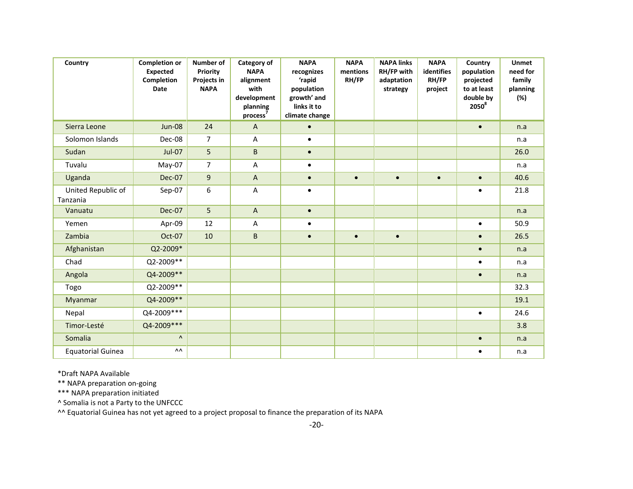| Country                        | <b>Completion or</b><br><b>Expected</b><br>Completion<br><b>Date</b> | Number of<br>Priority<br>Projects in<br><b>NAPA</b> | Category of<br><b>NAPA</b><br>alignment<br>with<br>development<br>planning<br>process <sup>7</sup> | <b>NAPA</b><br>recognizes<br>'rapid<br>population<br>growth' and<br>links it to<br>climate change | <b>NAPA</b><br>mentions<br>RH/FP | <b>NAPA links</b><br>RH/FP with<br>adaptation<br>strategy | <b>NAPA</b><br><b>identifies</b><br>RH/FP<br>project | Country<br>population<br>projected<br>to at least<br>double by<br>$2050^8$ | <b>Unmet</b><br>need for<br>family<br>planning<br>(%) |
|--------------------------------|----------------------------------------------------------------------|-----------------------------------------------------|----------------------------------------------------------------------------------------------------|---------------------------------------------------------------------------------------------------|----------------------------------|-----------------------------------------------------------|------------------------------------------------------|----------------------------------------------------------------------------|-------------------------------------------------------|
| Sierra Leone                   | <b>Jun-08</b>                                                        | 24                                                  | $\mathsf{A}$                                                                                       | $\bullet$                                                                                         |                                  |                                                           |                                                      | $\bullet$                                                                  | n.a                                                   |
| Solomon Islands                | Dec-08                                                               | $\overline{7}$                                      | A                                                                                                  | $\bullet$                                                                                         |                                  |                                                           |                                                      |                                                                            | n.a                                                   |
| Sudan                          | <b>Jul-07</b>                                                        | 5                                                   | $\sf B$                                                                                            | $\bullet$                                                                                         |                                  |                                                           |                                                      |                                                                            | 26.0                                                  |
| Tuvalu                         | May-07                                                               | $\overline{7}$                                      | A                                                                                                  | $\bullet$                                                                                         |                                  |                                                           |                                                      |                                                                            | n.a                                                   |
| Uganda                         | <b>Dec-07</b>                                                        | 9                                                   | A                                                                                                  | $\bullet$                                                                                         | $\bullet$                        | $\bullet$                                                 | $\bullet$                                            | $\bullet$                                                                  | 40.6                                                  |
| United Republic of<br>Tanzania | Sep-07                                                               | 6                                                   | $\overline{A}$                                                                                     | $\bullet$                                                                                         |                                  |                                                           |                                                      | $\bullet$                                                                  | 21.8                                                  |
| Vanuatu                        | <b>Dec-07</b>                                                        | 5                                                   | $\mathsf{A}$                                                                                       | $\bullet$                                                                                         |                                  |                                                           |                                                      |                                                                            | n.a                                                   |
| Yemen                          | Apr-09                                                               | 12                                                  | A                                                                                                  | $\bullet$                                                                                         |                                  |                                                           |                                                      | $\bullet$                                                                  | 50.9                                                  |
| Zambia                         | Oct-07                                                               | 10                                                  | $\sf B$                                                                                            | $\bullet$                                                                                         | $\bullet$                        | $\bullet$                                                 |                                                      | $\bullet$                                                                  | 26.5                                                  |
| Afghanistan                    | Q2-2009*                                                             |                                                     |                                                                                                    |                                                                                                   |                                  |                                                           |                                                      | $\bullet$                                                                  | n.a                                                   |
| Chad                           | Q2-2009**                                                            |                                                     |                                                                                                    |                                                                                                   |                                  |                                                           |                                                      | $\bullet$                                                                  | n.a                                                   |
| Angola                         | Q4-2009**                                                            |                                                     |                                                                                                    |                                                                                                   |                                  |                                                           |                                                      | $\bullet$                                                                  | n.a                                                   |
| Togo                           | Q2-2009**                                                            |                                                     |                                                                                                    |                                                                                                   |                                  |                                                           |                                                      |                                                                            | 32.3                                                  |
| Myanmar                        | Q4-2009**                                                            |                                                     |                                                                                                    |                                                                                                   |                                  |                                                           |                                                      |                                                                            | 19.1                                                  |
| Nepal                          | Q4-2009 ***                                                          |                                                     |                                                                                                    |                                                                                                   |                                  |                                                           |                                                      | $\bullet$                                                                  | 24.6                                                  |
| Timor-Lesté                    | Q4-2009 ***                                                          |                                                     |                                                                                                    |                                                                                                   |                                  |                                                           |                                                      |                                                                            | 3.8                                                   |
| Somalia                        | $\boldsymbol{\Lambda}$                                               |                                                     |                                                                                                    |                                                                                                   |                                  |                                                           |                                                      | $\bullet$                                                                  | n.a                                                   |
| <b>Equatorial Guinea</b>       | ۸۸                                                                   |                                                     |                                                                                                    |                                                                                                   |                                  |                                                           |                                                      | $\bullet$                                                                  | n.a                                                   |

\*Draft NAPA Available

\*\* NAPA preparation on-going

\*\*\* NAPA preparation initiated

^ Somalia is not a Party to the UNFCCC

<sup>^^</sup> Equatorial Guinea has not yet agreed to a project proposal to finance the preparation of its NAPA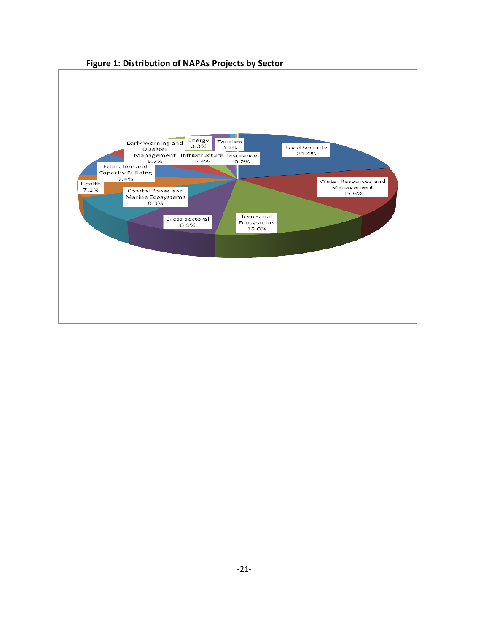

# Figure 1: Distribution of NAPAs Projects by Sector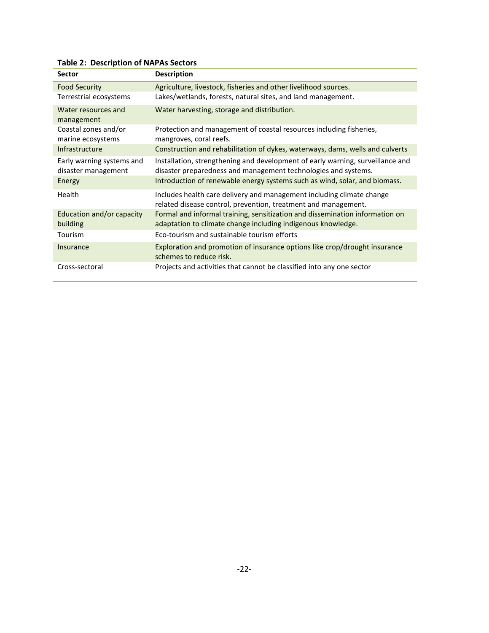| <b>Sector</b>                                    | <b>Description</b>                                                                                                                               |  |  |  |  |
|--------------------------------------------------|--------------------------------------------------------------------------------------------------------------------------------------------------|--|--|--|--|
| <b>Food Security</b>                             | Agriculture, livestock, fisheries and other livelihood sources.                                                                                  |  |  |  |  |
| Terrestrial ecosystems                           | Lakes/wetlands, forests, natural sites, and land management.                                                                                     |  |  |  |  |
| Water resources and<br>management                | Water harvesting, storage and distribution.                                                                                                      |  |  |  |  |
| Coastal zones and/or<br>marine ecosystems        | Protection and management of coastal resources including fisheries,<br>mangroves, coral reefs.                                                   |  |  |  |  |
| Infrastructure                                   | Construction and rehabilitation of dykes, waterways, dams, wells and culverts                                                                    |  |  |  |  |
| Early warning systems and<br>disaster management | Installation, strengthening and development of early warning, surveillance and<br>disaster preparedness and management technologies and systems. |  |  |  |  |
| Energy                                           | Introduction of renewable energy systems such as wind, solar, and biomass.                                                                       |  |  |  |  |
| <b>Health</b>                                    | Includes health care delivery and management including climate change<br>related disease control, prevention, treatment and management.          |  |  |  |  |
| Education and/or capacity<br>building            | Formal and informal training, sensitization and dissemination information on<br>adaptation to climate change including indigenous knowledge.     |  |  |  |  |
| Tourism                                          | Eco-tourism and sustainable tourism efforts                                                                                                      |  |  |  |  |
| Insurance                                        | Exploration and promotion of insurance options like crop/drought insurance<br>schemes to reduce risk.                                            |  |  |  |  |
| Cross-sectoral                                   | Projects and activities that cannot be classified into any one sector                                                                            |  |  |  |  |

Table 2: Description of NAPAs Sectors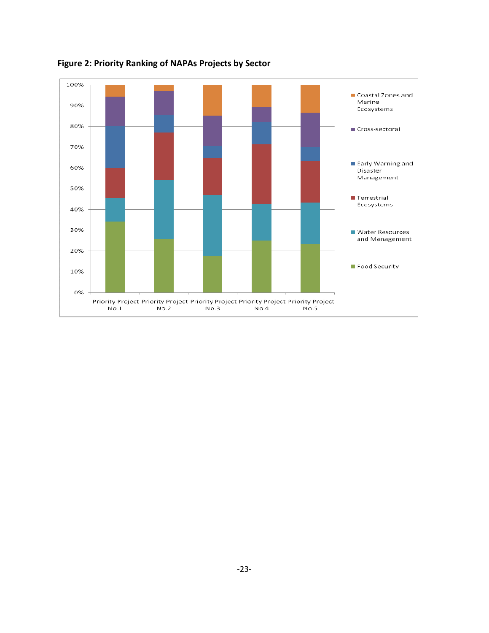

Figure 2: Priority Ranking of NAPAs Projects by Sector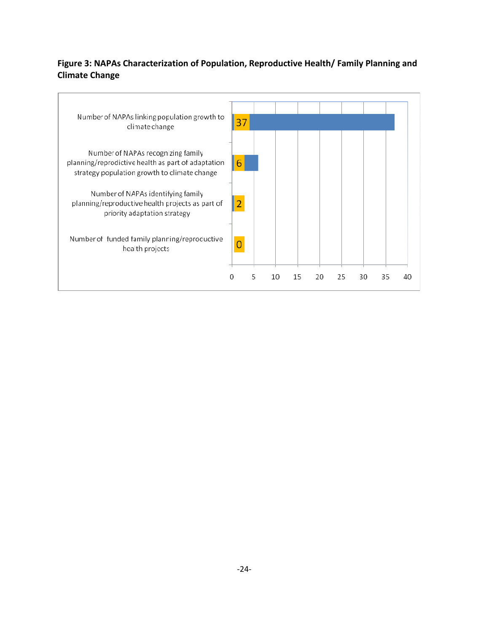# Figure 3: NAPAs Characterization of Population, Reproductive Health/ Family Planning and Climate Change

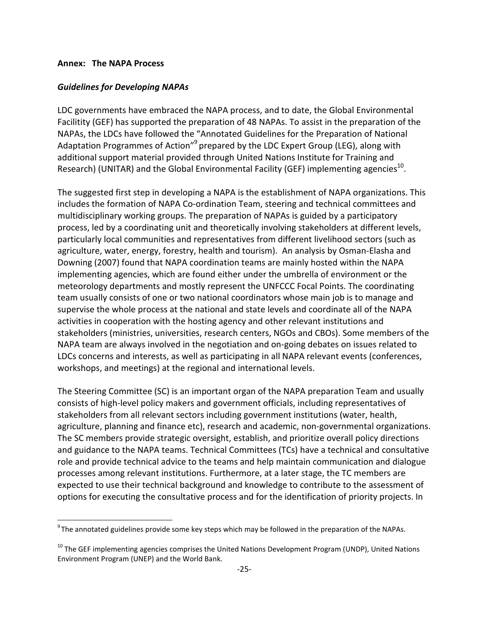#### Annex: The NAPA Process

l

#### Guidelines for Developing NAPAs

LDC governments have embraced the NAPA process, and to date, the Global Environmental Facilitity (GEF) has supported the preparation of 48 NAPAs. To assist in the preparation of the NAPAs, the LDCs have followed the "Annotated Guidelines for the Preparation of National Adaptation Programmes of Action"<sup>9</sup> prepared by the LDC Expert Group (LEG), along with additional support material provided through United Nations Institute for Training and Research) (UNITAR) and the Global Environmental Facility (GEF) implementing agencies<sup>10</sup>.

The suggested first step in developing a NAPA is the establishment of NAPA organizations. This includes the formation of NAPA Co-ordination Team, steering and technical committees and multidisciplinary working groups. The preparation of NAPAs is guided by a participatory process, led by a coordinating unit and theoretically involving stakeholders at different levels, particularly local communities and representatives from different livelihood sectors (such as agriculture, water, energy, forestry, health and tourism). An analysis by Osman-Elasha and Downing (2007) found that NAPA coordination teams are mainly hosted within the NAPA implementing agencies, which are found either under the umbrella of environment or the meteorology departments and mostly represent the UNFCCC Focal Points. The coordinating team usually consists of one or two national coordinators whose main job is to manage and supervise the whole process at the national and state levels and coordinate all of the NAPA activities in cooperation with the hosting agency and other relevant institutions and stakeholders (ministries, universities, research centers, NGOs and CBOs). Some members of the NAPA team are always involved in the negotiation and on-going debates on issues related to LDCs concerns and interests, as well as participating in all NAPA relevant events (conferences, workshops, and meetings) at the regional and international levels.

The Steering Committee (SC) is an important organ of the NAPA preparation Team and usually consists of high-level policy makers and government officials, including representatives of stakeholders from all relevant sectors including government institutions (water, health, agriculture, planning and finance etc), research and academic, non-governmental organizations. The SC members provide strategic oversight, establish, and prioritize overall policy directions and guidance to the NAPA teams. Technical Committees (TCs) have a technical and consultative role and provide technical advice to the teams and help maintain communication and dialogue processes among relevant institutions. Furthermore, at a later stage, the TC members are expected to use their technical background and knowledge to contribute to the assessment of options for executing the consultative process and for the identification of priority projects. In

 $9$ The annotated guidelines provide some key steps which may be followed in the preparation of the NAPAs.

<sup>&</sup>lt;sup>10</sup> The GEF implementing agencies comprises the United Nations Development Program (UNDP), United Nations Environment Program (UNEP) and the World Bank.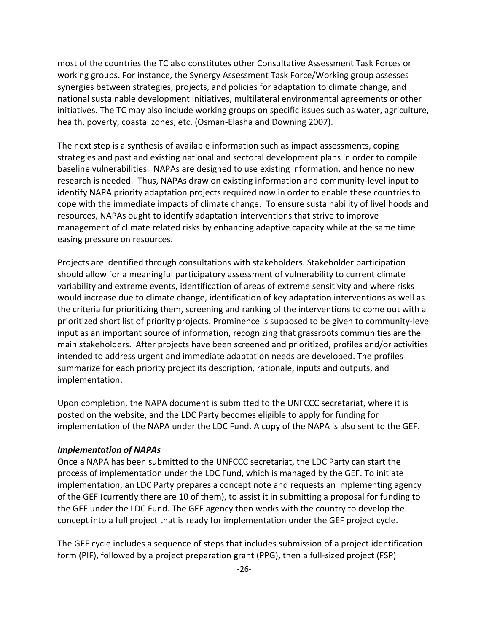most of the countries the TC also constitutes other Consultative Assessment Task Forces or working groups. For instance, the Synergy Assessment Task Force/Working group assesses synergies between strategies, projects, and policies for adaptation to climate change, and national sustainable development initiatives, multilateral environmental agreements or other initiatives. The TC may also include working groups on specific issues such as water, agriculture, health, poverty, coastal zones, etc. (Osman-Elasha and Downing 2007).

The next step is a synthesis of available information such as impact assessments, coping strategies and past and existing national and sectoral development plans in order to compile baseline vulnerabilities. NAPAs are designed to use existing information, and hence no new research is needed. Thus, NAPAs draw on existing information and community-level input to identify NAPA priority adaptation projects required now in order to enable these countries to cope with the immediate impacts of climate change. To ensure sustainability of livelihoods and resources, NAPAs ought to identify adaptation interventions that strive to improve management of climate related risks by enhancing adaptive capacity while at the same time easing pressure on resources.

Projects are identified through consultations with stakeholders. Stakeholder participation should allow for a meaningful participatory assessment of vulnerability to current climate variability and extreme events, identification of areas of extreme sensitivity and where risks would increase due to climate change, identification of key adaptation interventions as well as the criteria for prioritizing them, screening and ranking of the interventions to come out with a prioritized short list of priority projects. Prominence is supposed to be given to community-level input as an important source of information, recognizing that grassroots communities are the main stakeholders. After projects have been screened and prioritized, profiles and/or activities intended to address urgent and immediate adaptation needs are developed. The profiles summarize for each priority project its description, rationale, inputs and outputs, and implementation.

Upon completion, the NAPA document is submitted to the UNFCCC secretariat, where it is posted on the website, and the LDC Party becomes eligible to apply for funding for implementation of the NAPA under the LDC Fund. A copy of the NAPA is also sent to the GEF.

## Implementation of NAPAs

Once a NAPA has been submitted to the UNFCCC secretariat, the LDC Party can start the process of implementation under the LDC Fund, which is managed by the GEF. To initiate implementation, an LDC Party prepares a concept note and requests an implementing agency of the GEF (currently there are 10 of them), to assist it in submitting a proposal for funding to the GEF under the LDC Fund. The GEF agency then works with the country to develop the concept into a full project that is ready for implementation under the GEF project cycle.

The GEF cycle includes a sequence of steps that includes submission of a project identification form (PIF), followed by a project preparation grant (PPG), then a full-sized project (FSP)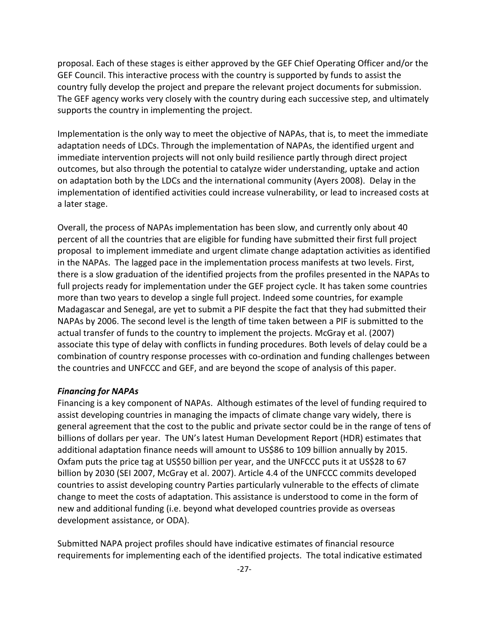proposal. Each of these stages is either approved by the GEF Chief Operating Officer and/or the GEF Council. This interactive process with the country is supported by funds to assist the country fully develop the project and prepare the relevant project documents for submission. The GEF agency works very closely with the country during each successive step, and ultimately supports the country in implementing the project.

Implementation is the only way to meet the objective of NAPAs, that is, to meet the immediate adaptation needs of LDCs. Through the implementation of NAPAs, the identified urgent and immediate intervention projects will not only build resilience partly through direct project outcomes, but also through the potential to catalyze wider understanding, uptake and action on adaptation both by the LDCs and the international community (Ayers 2008). Delay in the implementation of identified activities could increase vulnerability, or lead to increased costs at a later stage.

Overall, the process of NAPAs implementation has been slow, and currently only about 40 percent of all the countries that are eligible for funding have submitted their first full project proposal to implement immediate and urgent climate change adaptation activities as identified in the NAPAs. The lagged pace in the implementation process manifests at two levels. First, there is a slow graduation of the identified projects from the profiles presented in the NAPAs to full projects ready for implementation under the GEF project cycle. It has taken some countries more than two years to develop a single full project. Indeed some countries, for example Madagascar and Senegal, are yet to submit a PIF despite the fact that they had submitted their NAPAs by 2006. The second level is the length of time taken between a PIF is submitted to the actual transfer of funds to the country to implement the projects. McGray et al. (2007) associate this type of delay with conflicts in funding procedures. Both levels of delay could be a combination of country response processes with co-ordination and funding challenges between the countries and UNFCCC and GEF, and are beyond the scope of analysis of this paper.

## Financing for NAPAs

Financing is a key component of NAPAs. Although estimates of the level of funding required to assist developing countries in managing the impacts of climate change vary widely, there is general agreement that the cost to the public and private sector could be in the range of tens of billions of dollars per year. The UN's latest Human Development Report (HDR) estimates that additional adaptation finance needs will amount to US\$86 to 109 billion annually by 2015. Oxfam puts the price tag at US\$50 billion per year, and the UNFCCC puts it at US\$28 to 67 billion by 2030 (SEI 2007, McGray et al. 2007). Article 4.4 of the UNFCCC commits developed countries to assist developing country Parties particularly vulnerable to the effects of climate change to meet the costs of adaptation. This assistance is understood to come in the form of new and additional funding (i.e. beyond what developed countries provide as overseas development assistance, or ODA).

Submitted NAPA project profiles should have indicative estimates of financial resource requirements for implementing each of the identified projects. The total indicative estimated